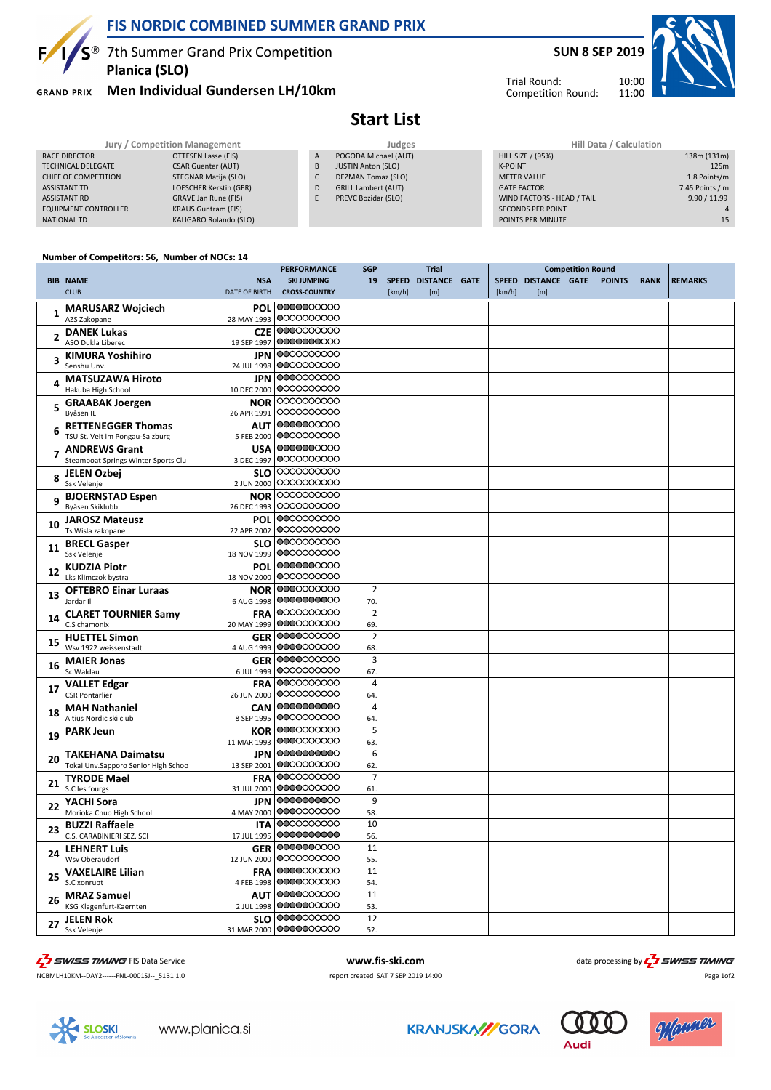

## **FIS NORDIC COMBINED SUMMER GRAND PRIX**

 $\sqrt{5}$ <sup>®</sup> 7th Summer Grand Prix Competition **Planica (SLO)**

**GRAND PRIX Men Individual Gundersen LH/10km**



11:00

Trial Round: Competition Round:



**Start List**

| Jury / Competition Management |                            |   | Judges                     | Hill Data / Calculation    |                 |  |  |  |
|-------------------------------|----------------------------|---|----------------------------|----------------------------|-----------------|--|--|--|
| RACE DIRECTOR                 | OTTESEN Lasse (FIS)        | A | POGODA Michael (AUT)       | <b>HILL SIZE / (95%)</b>   | 138m (131m)     |  |  |  |
| <b>TECHNICAL DELEGATE</b>     | <b>CSAR Guenter (AUT)</b>  | B | <b>JUSTIN Anton (SLO)</b>  | <b>K-POINT</b>             | 125m            |  |  |  |
| CHIEF OF COMPETITION          | STEGNAR Matija (SLO)       | C | DEZMAN Tomaz (SLO)         | <b>METER VALUE</b>         | 1.8 Points/m    |  |  |  |
| ASSISTANT TD                  | LOESCHER Kerstin (GER)     | D | <b>GRILL Lambert (AUT)</b> | <b>GATE FACTOR</b>         | 7.45 Points / m |  |  |  |
| <b>ASSISTANT RD</b>           | GRAVE Jan Rune (FIS)       |   | PREVC Bozidar (SLO)        | WIND FACTORS - HEAD / TAIL | 9.90 / 11.99    |  |  |  |
| <b>EQUIPMENT CONTROLLER</b>   | <b>KRAUS Guntram (FIS)</b> |   |                            | <b>SECONDS PER POINT</b>   |                 |  |  |  |
| NATIONAL TD                   | KALIGARO Rolando (SLO)     |   |                            | POINTS PER MINUTE          | 15              |  |  |  |
|                               |                            |   |                            |                            |                 |  |  |  |

## **Number of Competitors: 56, Number of NOCs: 14**

|              |                                                                                | PERFORMANCE            | <b>SGP</b>     |        | Trial               |        |                            | <b>Competition Round</b> |             |                |
|--------------|--------------------------------------------------------------------------------|------------------------|----------------|--------|---------------------|--------|----------------------------|--------------------------|-------------|----------------|
|              | <b>BIB NAME</b><br><b>NSA</b>                                                  | <b>SKI JUMPING</b>     | 19             |        | SPEED DISTANCE GATE |        | SPEED DISTANCE GATE POINTS |                          | <b>RANK</b> | <b>REMARKS</b> |
|              | <b>CLUB</b><br><b>DATE OF BIRTH</b>                                            | <b>CROSS-COUNTRY</b>   |                | [km/h] | [m]                 | [km/h] | [m]                        |                          |             |                |
|              | <b>MARUSARZ Wojciech</b><br><b>POL</b>                                         | 0000000000             |                |        |                     |        |                            |                          |             |                |
| $\mathbf{1}$ | AZS Zakopane<br>28 MAY 1993                                                    | 0000000000             |                |        |                     |        |                            |                          |             |                |
|              | <b>DANEK Lukas</b><br><b>CZE</b>                                               | 0000000000             |                |        |                     |        |                            |                          |             |                |
| 2            | ASO Dukla Liberec<br>19 SEP 1997                                               | 0000000000             |                |        |                     |        |                            |                          |             |                |
|              | <b>KIMURA Yoshihiro</b><br><b>JPN</b>                                          | 0000000000             |                |        |                     |        |                            |                          |             |                |
|              | Senshu Unv.<br>24 JUL 1998                                                     | 0000000000             |                |        |                     |        |                            |                          |             |                |
|              | <b>MATSUZAWA Hiroto</b><br><b>JPN</b>                                          | 0000000000             |                |        |                     |        |                            |                          |             |                |
| 4            | Hakuba High School<br>10 DEC 2000                                              | 0000000000             |                |        |                     |        |                            |                          |             |                |
|              |                                                                                | 0000000000             |                |        |                     |        |                            |                          |             |                |
| 5            | <b>GRAABAK Joergen</b><br><b>NOR</b><br>Byåsen IL<br>26 APR 1991               | 0000000000             |                |        |                     |        |                            |                          |             |                |
|              |                                                                                | 0000000000             |                |        |                     |        |                            |                          |             |                |
|              | <b>RETTENEGGER Thomas</b><br><b>AUT</b>                                        | 0000000000             |                |        |                     |        |                            |                          |             |                |
|              | TSU St. Veit im Pongau-Salzburg<br>5 FEB 2000                                  | 0000000000             |                |        |                     |        |                            |                          |             |                |
| 7            | <b>ANDREWS Grant</b><br><b>USA</b>                                             | 0000000000             |                |        |                     |        |                            |                          |             |                |
|              | Steamboat Springs Winter Sports Clu<br>3 DEC 1997                              |                        |                |        |                     |        |                            |                          |             |                |
| 8            | <b>JELEN Ozbej</b><br><b>SLO</b>                                               | 0000000000             |                |        |                     |        |                            |                          |             |                |
|              | Ssk Velenje<br>2 JUN 2000                                                      | 0000000000             |                |        |                     |        |                            |                          |             |                |
| q            | <b>BJOERNSTAD Espen</b><br><b>NOR</b>                                          | 0000000000             |                |        |                     |        |                            |                          |             |                |
|              | Byåsen Skiklubb<br>26 DEC 1993                                                 | 0000000000             |                |        |                     |        |                            |                          |             |                |
| 10           | <b>JAROSZ Mateusz</b><br><b>POL</b>                                            | 0000000000             |                |        |                     |        |                            |                          |             |                |
|              | Ts Wisla zakopane<br>22 APR 2002                                               | 0000000000             |                |        |                     |        |                            |                          |             |                |
|              | <b>SLO</b><br><b>BRECL Gasper</b>                                              | 0000000000             |                |        |                     |        |                            |                          |             |                |
| 11           | Ssk Velenje<br>18 NOV 1999                                                     | 0000000000             |                |        |                     |        |                            |                          |             |                |
|              | <b>KUDZIA Piotr</b><br><b>POL</b>                                              | 0000000000             |                |        |                     |        |                            |                          |             |                |
| 12           | Lks Klimczok bystra<br>18 NOV 2000                                             | 0000000000             |                |        |                     |        |                            |                          |             |                |
|              | <b>OFTEBRO Einar Luraas</b><br><b>NOR</b>                                      | 0000000000             | $\overline{2}$ |        |                     |        |                            |                          |             |                |
| 13           | Jardar II<br>6 AUG 1998                                                        | 0000000000             | 70.            |        |                     |        |                            |                          |             |                |
|              | <b>CLARET TOURNIER Samy</b><br><b>FRA</b>                                      | 0000000000             | $\overline{2}$ |        |                     |        |                            |                          |             |                |
| 14           | C.S chamonix<br>20 MAY 1999                                                    | 0000000000             | 69.            |        |                     |        |                            |                          |             |                |
|              | <b>HUETTEL Simon</b><br><b>GER</b>                                             | 0000000000             | $\overline{2}$ |        |                     |        |                            |                          |             |                |
| 15           | Wsv 1922 weissenstadt<br>4 AUG 1999                                            | 0000000000             | 68.            |        |                     |        |                            |                          |             |                |
|              | <b>MAIER Jonas</b><br><b>GER</b>                                               | 0000000000             | $\overline{3}$ |        |                     |        |                            |                          |             |                |
| 16           | Sc Waldau<br>6 JUL 1999                                                        | 0000000000             | 67.            |        |                     |        |                            |                          |             |                |
|              | <b>VALLET Edgar</b><br><b>FRA</b>                                              | 0000000000             | 4              |        |                     |        |                            |                          |             |                |
| 17           | <b>CSR Pontarlier</b><br>26 JUN 2000                                           | 0000000000             | 64.            |        |                     |        |                            |                          |             |                |
|              | <b>MAH Nathaniel</b><br><b>CAN</b>                                             | 0000000000             | $\overline{4}$ |        |                     |        |                            |                          |             |                |
| 18           | Altius Nordic ski club<br>8 SEP 1995                                           | 0000000000             | 64.            |        |                     |        |                            |                          |             |                |
|              |                                                                                | 0000000000             | 5              |        |                     |        |                            |                          |             |                |
| 19           | KOR<br><b>PARK Jeun</b><br>11 MAR 1993                                         | 0000000000             | 63.            |        |                     |        |                            |                          |             |                |
|              | <b>JPN</b>                                                                     | 0000000000             | 6              |        |                     |        |                            |                          |             |                |
| 20           | <b>TAKEHANA Daimatsu</b><br>Tokai Unv.Sapporo Senior High Schoo<br>13 SEP 2001 | 0000000000             | 62.            |        |                     |        |                            |                          |             |                |
|              |                                                                                | 0000000000             | 7              |        |                     |        |                            |                          |             |                |
| 21           | <b>TYRODE Mael</b><br><b>FRA</b>                                               | 0000000000             |                |        |                     |        |                            |                          |             |                |
|              | S.C les fourgs<br>31 JUL 2000                                                  | 0000000000             | 61.<br>9       |        |                     |        |                            |                          |             |                |
| 22           | <b>JPN</b><br>YACHI Sora                                                       | 0000000000             |                |        |                     |        |                            |                          |             |                |
|              | Morioka Chuo High School<br>4 MAY 2000                                         |                        | 58.            |        |                     |        |                            |                          |             |                |
| 23           | <b>BUZZI Raffaele</b><br><b>ITA</b>                                            | 0000000000             | 10             |        |                     |        |                            |                          |             |                |
|              | C.S. CARABINIERI SEZ. SCI<br>17 JUL 1995                                       | 0000000000             | 56.            |        |                     |        |                            |                          |             |                |
| 24           | <b>LEHNERT Luis</b><br><b>GER</b>                                              | 0000000000             | 11             |        |                     |        |                            |                          |             |                |
|              | Wsv Oberaudorf<br>12 JUN 2000                                                  | 0000000000             | 55.            |        |                     |        |                            |                          |             |                |
| 25           | <b>VAXELAIRE Lilian</b><br><b>FRA</b>                                          | 0000000000             | 11             |        |                     |        |                            |                          |             |                |
|              | S.C xonrupt<br>4 FEB 1998                                                      | 0000000000             | 54.            |        |                     |        |                            |                          |             |                |
| 26           | <b>MRAZ Samuel</b><br><b>AUT</b>                                               | 0000000000             | 11             |        |                     |        |                            |                          |             |                |
|              | KSG Klagenfurt-Kaernten<br>2 JUL 1998                                          | 0000000000             | 53.            |        |                     |        |                            |                          |             |                |
| 27           | <b>JELEN Rok</b><br><b>SLO</b>                                                 | 0000000000             | 12             |        |                     |        |                            |                          |             |                |
|              | Ssk Velenje                                                                    | 31 MAR 2000 0000000000 | 52.            |        |                     |        |                            |                          |             |                |

 $\overline{\mathbf{z}}$ 

T**I** SWISS TIMING FIS Data Service **WWW.fis-Ski.com** WWW.fister Manufacture of the data processing by  $\frac{1}{2}$  SWISS TIMING

NCBMLH10KM--DAY2------FNL-0001SJ--\_51B1 1.0 report created SAT 7 SEP 2019 14:00



**KRANJSKA//GORA** 





Page 1of2